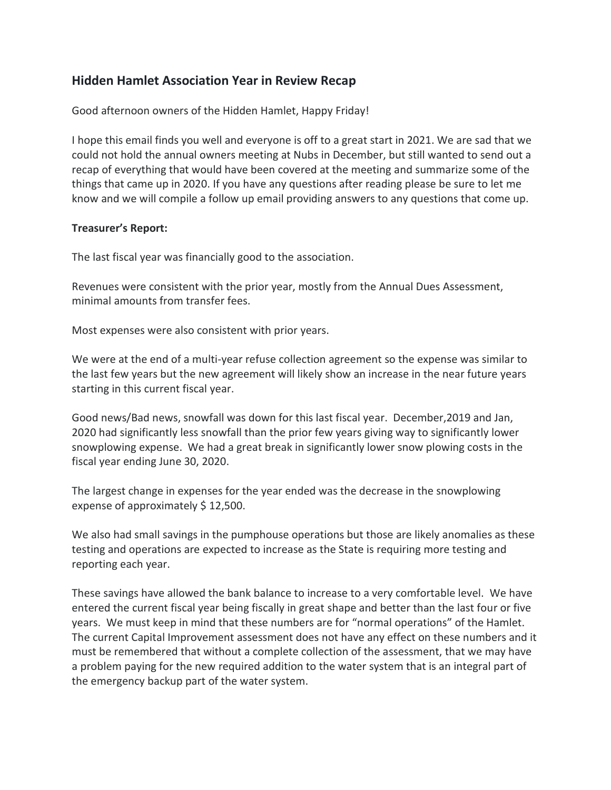# **Hidden Hamlet Association Year in Review Recap**

Good afternoon owners of the Hidden Hamlet, Happy Friday!

I hope this email finds you well and everyone is off to a great start in 2021. We are sad that we could not hold the annual owners meeting at Nubs in December, but still wanted to send out a recap of everything that would have been covered at the meeting and summarize some of the things that came up in 2020. If you have any questions after reading please be sure to let me know and we will compile a follow up email providing answers to any questions that come up.

## **Treasurer's Report:**

The last fiscal year was financially good to the association.

Revenues were consistent with the prior year, mostly from the Annual Dues Assessment, minimal amounts from transfer fees.

Most expenses were also consistent with prior years.

We were at the end of a multi-year refuse collection agreement so the expense was similar to the last few years but the new agreement will likely show an increase in the near future years starting in this current fiscal year.

Good news/Bad news, snowfall was down for this last fiscal year. December,2019 and Jan, 2020 had significantly less snowfall than the prior few years giving way to significantly lower snowplowing expense. We had a great break in significantly lower snow plowing costs in the fiscal year ending June 30, 2020.

The largest change in expenses for the year ended was the decrease in the snowplowing expense of approximately \$12,500.

We also had small savings in the pumphouse operations but those are likely anomalies as these testing and operations are expected to increase as the State is requiring more testing and reporting each year.

These savings have allowed the bank balance to increase to a very comfortable level. We have entered the current fiscal year being fiscally in great shape and better than the last four or five years. We must keep in mind that these numbers are for "normal operations" of the Hamlet. The current Capital Improvement assessment does not have any effect on these numbers and it must be remembered that without a complete collection of the assessment, that we may have a problem paying for the new required addition to the water system that is an integral part of the emergency backup part of the water system.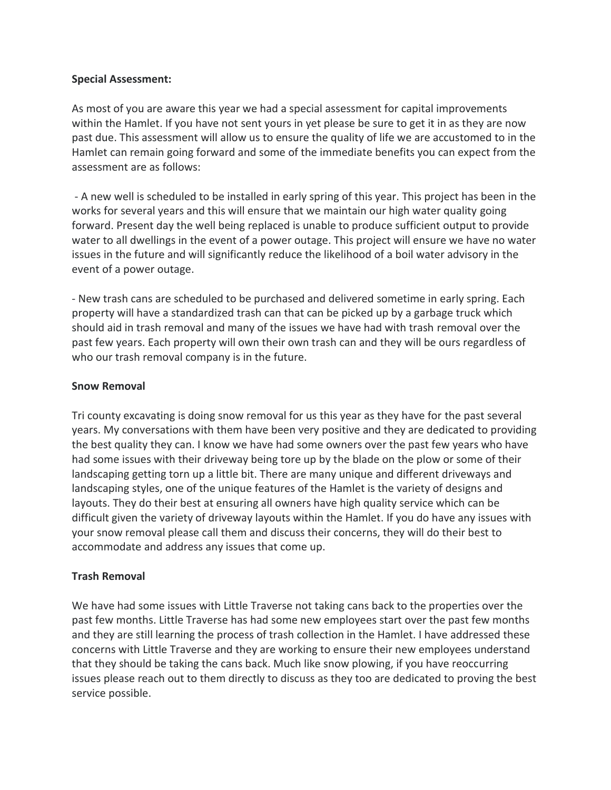### **Special Assessment:**

As most of you are aware this year we had a special assessment for capital improvements within the Hamlet. If you have not sent yours in yet please be sure to get it in as they are now past due. This assessment will allow us to ensure the quality of life we are accustomed to in the Hamlet can remain going forward and some of the immediate benefits you can expect from the assessment are as follows:

- A new well is scheduled to be installed in early spring of this year. This project has been in the works for several years and this will ensure that we maintain our high water quality going forward. Present day the well being replaced is unable to produce sufficient output to provide water to all dwellings in the event of a power outage. This project will ensure we have no water issues in the future and will significantly reduce the likelihood of a boil water advisory in the event of a power outage.

- New trash cans are scheduled to be purchased and delivered sometime in early spring. Each property will have a standardized trash can that can be picked up by a garbage truck which should aid in trash removal and many of the issues we have had with trash removal over the past few years. Each property will own their own trash can and they will be ours regardless of who our trash removal company is in the future.

### **Snow Removal**

Tri county excavating is doing snow removal for us this year as they have for the past several years. My conversations with them have been very positive and they are dedicated to providing the best quality they can. I know we have had some owners over the past few years who have had some issues with their driveway being tore up by the blade on the plow or some of their landscaping getting torn up a little bit. There are many unique and different driveways and landscaping styles, one of the unique features of the Hamlet is the variety of designs and layouts. They do their best at ensuring all owners have high quality service which can be difficult given the variety of driveway layouts within the Hamlet. If you do have any issues with your snow removal please call them and discuss their concerns, they will do their best to accommodate and address any issues that come up.

### **Trash Removal**

We have had some issues with Little Traverse not taking cans back to the properties over the past few months. Little Traverse has had some new employees start over the past few months and they are still learning the process of trash collection in the Hamlet. I have addressed these concerns with Little Traverse and they are working to ensure their new employees understand that they should be taking the cans back. Much like snow plowing, if you have reoccurring issues please reach out to them directly to discuss as they too are dedicated to proving the best service possible.